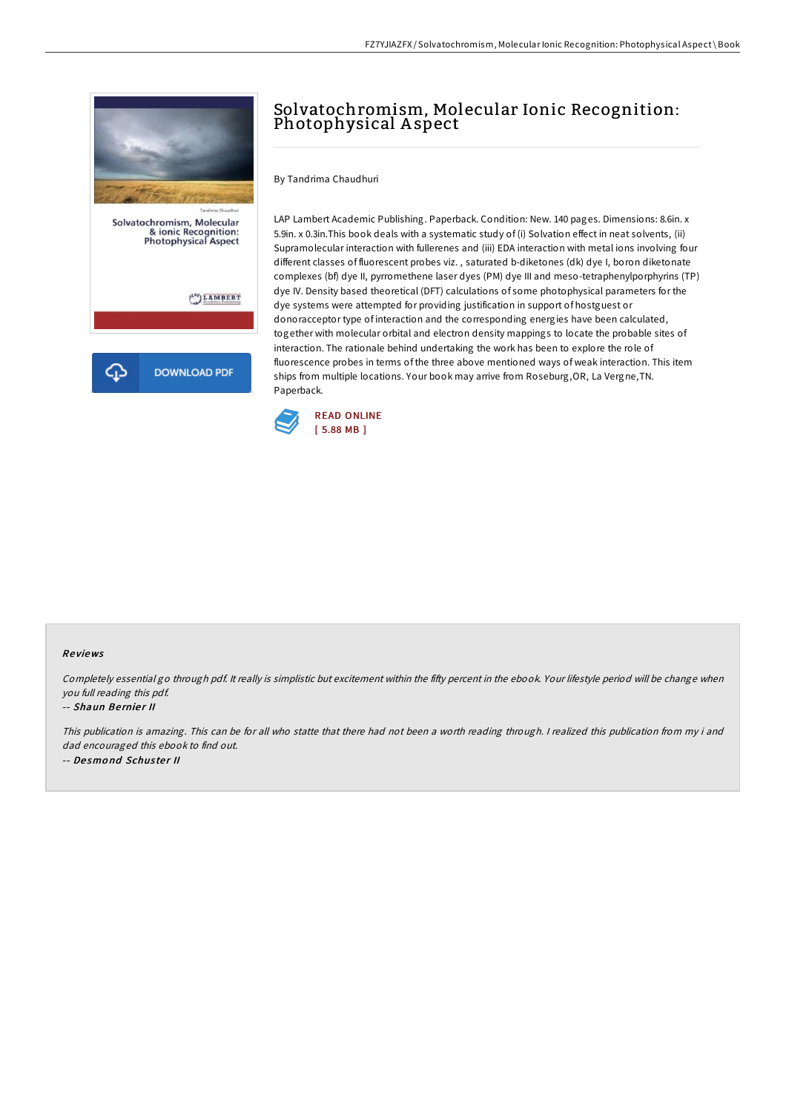

# Solvatochromism, Molecular Ionic Recognition: Photophysical Aspect

By Tandrima Chaudhuri

LAP Lambert Academic Publishing. Paperback. Condition: New. 140 pages. Dimensions: 8.6in. x 5.9in. x 0.3in.This book deals with a systematic study of (i) Solvation effect in neat solvents, (ii) Supramolecular interaction with fullerenes and (iii) EDA interaction with metal ions involving four different classes of fluorescent probes viz. , saturated b-diketones (dk) dye I, boron diketonate complexes (bf) dye II, pyrromethene laser dyes (PM) dye III and meso-tetraphenylporphyrins (TP) dye IV. Density based theoretical (DFT) calculations of some photophysical parameters for the dye systems were attempted for providing justification in support of hostguest or donoracceptor type of interaction and the corresponding energies have been calculated, together with molecular orbital and electron density mappings to locate the probable sites of interaction. The rationale behind undertaking the work has been to explore the role of fluorescence probes in terms of the three above mentioned ways of weak interaction. This item ships from multiple locations. Your book may arrive from Roseburg,OR, La Vergne,TN. Paperback.



### Re views

Completely essential go through pdf. It really is simplistic but excitement within the fifty percent in the ebook. Your lifestyle period will be change when you full reading this pdf.

#### -- Shaun Bernier II

This publication is amazing. This can be for all who statte that there had not been <sup>a</sup> worth reading through. <sup>I</sup> realized this publication from my i and dad encouraged this ebook to find out. -- De smo nd Schus te <sup>r</sup> II